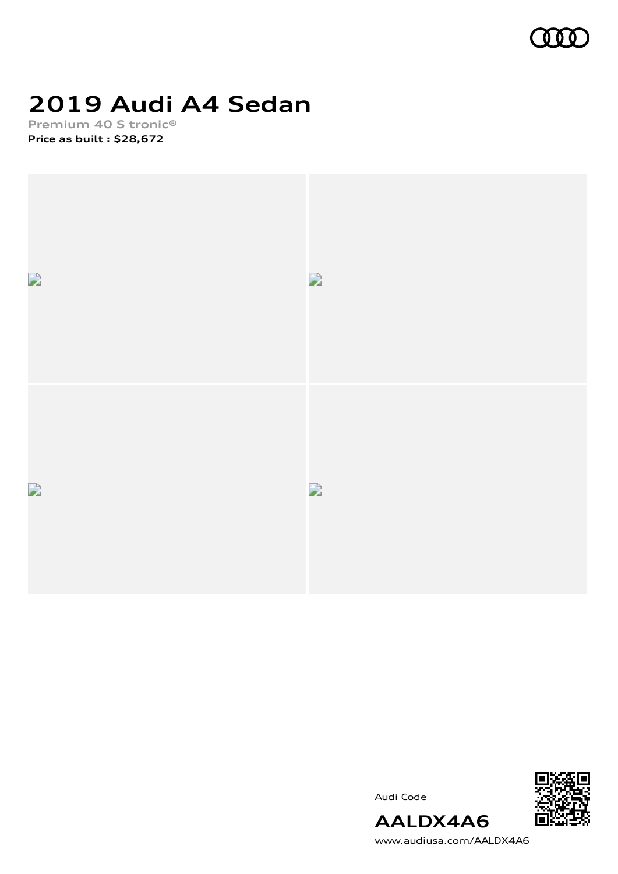

## **2019 Audi A4 Sedan**

**Premium 40 S tronic® Price as built [:](#page-10-0) \$28,672**







[www.audiusa.com/AALDX4A6](https://www.audiusa.com/AALDX4A6)

**AALDX4A6**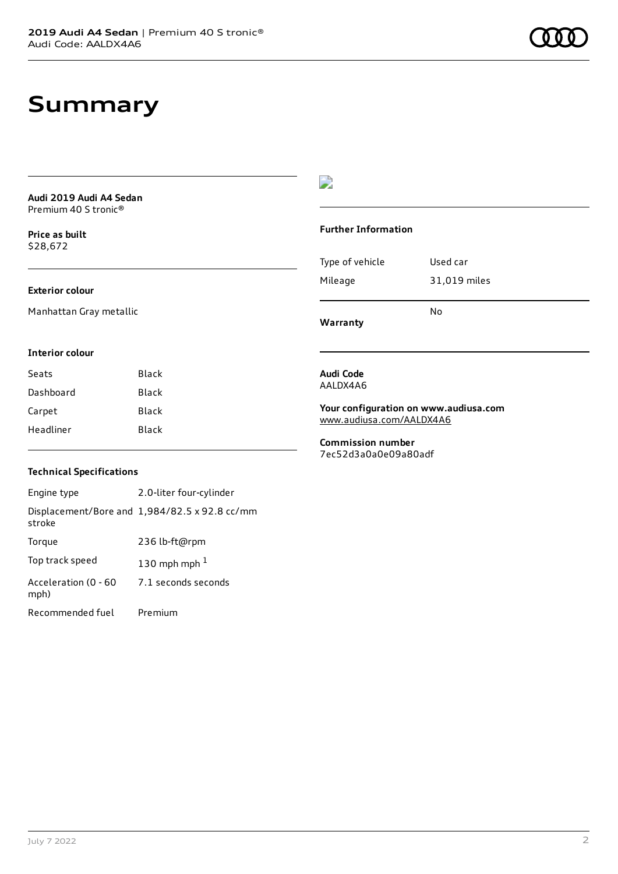### **Summary**

**Audi 2019 Audi A4 Sedan** Premium 40 S tronic®

**Price as buil[t](#page-10-0)** \$28,672

#### **Exterior colour**

Manhattan Gray metallic

#### **Interior colour**

| Seats     | Black |
|-----------|-------|
| Dashboard | Black |
| Carpet    | Black |
| Headliner | Black |

### D

#### **Further Information**

| Type of vehicle | Used car     |
|-----------------|--------------|
| Mileage         | 31,019 miles |
|                 | No           |

**Warranty**

#### **Audi Code** AALDX4A6

**Your configuration on www.audiusa.com** [www.audiusa.com/AALDX4A6](https://www.audiusa.com/AALDX4A6)

**Commission number** 7ec52d3a0a0e09a80adf

### **Technical Specifications**

Engine type 2.0-liter four-cylinder Displacement/Bore and 1,984/82.5 x 92.8 cc/mm stroke Torque 236 lb-ft@rpm Top track speed  $130$  $130$  mph mph  $^{\rm 1}$ Acceleration (0 - 60 mph) 7.1 seconds seconds Recommended fuel Premium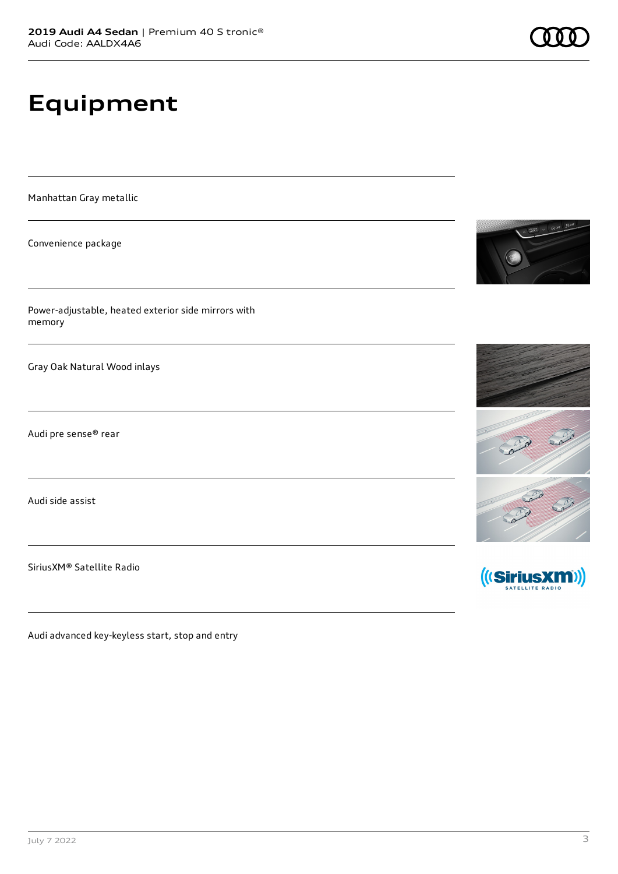# **Equipment**

Manhattan Gray metallic

Convenience package

Power-adjustable, heated exterior side mirrors with memory

Gray Oak Natural Wood inlays

Audi pre sense® rear

Audi side assist

SiriusXM® Satellite Radio

Audi advanced key-keyless start, stop and entry







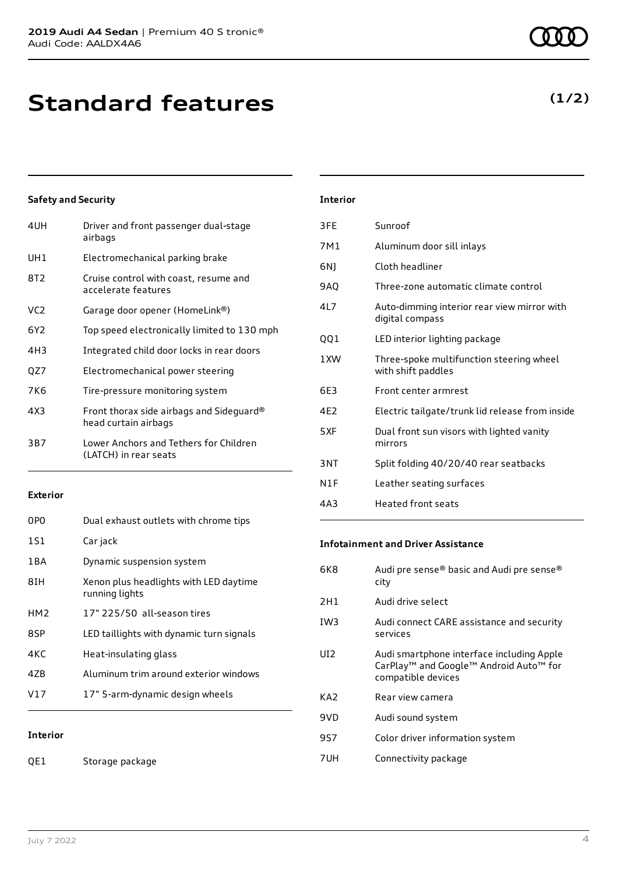**Standard features**

### **Safety and Security**

| 4UH             | Driver and front passenger dual-stage<br>airbags                 |
|-----------------|------------------------------------------------------------------|
| UH1             | Electromechanical parking brake                                  |
| 8T2             | Cruise control with coast, resume and<br>accelerate features     |
| VC <sub>2</sub> | Garage door opener (HomeLink®)                                   |
| 6Y2             | Top speed electronically limited to 130 mph                      |
| 4H3             | Integrated child door locks in rear doors                        |
| QZ7             | Electromechanical power steering                                 |
| 7K6             | Tire-pressure monitoring system                                  |
| 4X3             | Front thorax side airbags and Sideguard®<br>head curtain airbags |
| 3B7             | Lower Anchors and Tethers for Children<br>(LATCH) in rear seats  |
|                 |                                                                  |

### **Exterior**

| 0PO             | Dual exhaust outlets with chrome tips                    |
|-----------------|----------------------------------------------------------|
| 1S1             | Car jack                                                 |
| 1 B A           | Dynamic suspension system                                |
| 8TH             | Xenon plus headlights with LED daytime<br>running lights |
| HM <sub>2</sub> | 17" 225/50 all-season tires                              |
| 8SP             | LED taillights with dynamic turn signals                 |
| 4KC             | Heat-insulating glass                                    |
| 47B             | Aluminum trim around exterior windows                    |
| V17             | 17" 5-arm-dynamic design wheels                          |
|                 |                                                          |

**Interior**

QE1 Storage package

| 3FE | Sunroof                                                        |
|-----|----------------------------------------------------------------|
| 7M1 | Aluminum door sill inlays                                      |
| 6N) | Cloth headliner                                                |
| 9AQ | Three-zone automatic climate control                           |
| 4L7 | Auto-dimming interior rear view mirror with<br>digital compass |
| QQ1 | LED interior lighting package                                  |
| 1XW | Three-spoke multifunction steering wheel<br>with shift paddles |
| 6E3 | Front center armrest                                           |
| 4E2 | Electric tailgate/trunk lid release from inside                |
| 5XF | Dual front sun visors with lighted vanity<br>mirrors           |
| 3NT | Split folding 40/20/40 rear seatbacks                          |
| N1F | Leather seating surfaces                                       |
| 4A3 | Heated front seats                                             |

### **Infotainment and Driver Assistance**

| 6K8  | Audi pre sense® basic and Audi pre sense®<br>city                                                                     |
|------|-----------------------------------------------------------------------------------------------------------------------|
| 2H1  | Audi drive select                                                                                                     |
| IW3  | Audi connect CARE assistance and security<br>services                                                                 |
| UT2. | Audi smartphone interface including Apple<br>CarPlay <sup>™</sup> and Google™ Android Auto™ for<br>compatible devices |
| KA2  | Rear view camera                                                                                                      |
| 9VD  | Audi sound system                                                                                                     |
| 9S7  | Color driver information system                                                                                       |
| 7UH  | Connectivity package                                                                                                  |

**(1/2)**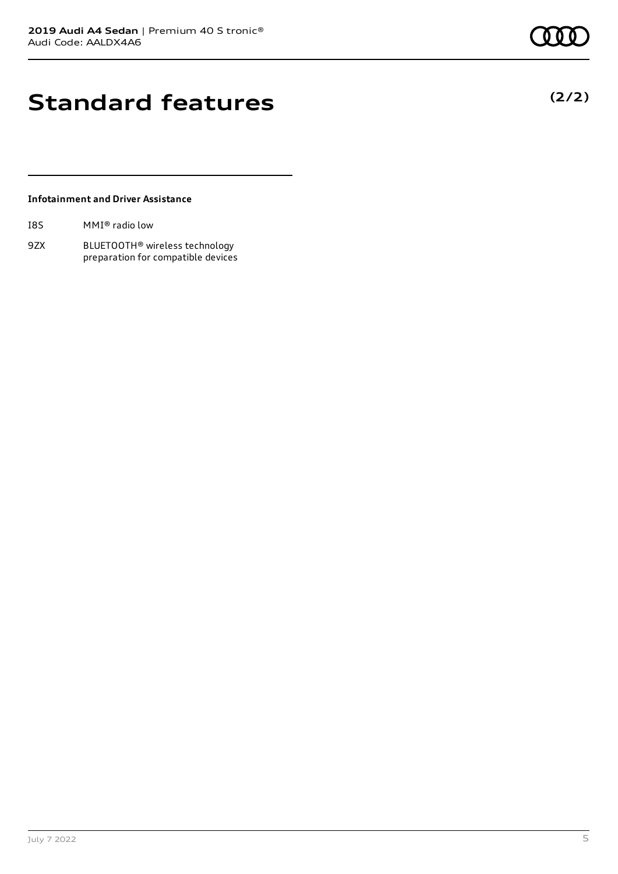### **Standard features**

### **Infotainment and Driver Assistance**

| I8S | $MMI®$ radio low |
|-----|------------------|
|     |                  |

9ZX BLUETOOTH® wireless technology preparation for compatible devices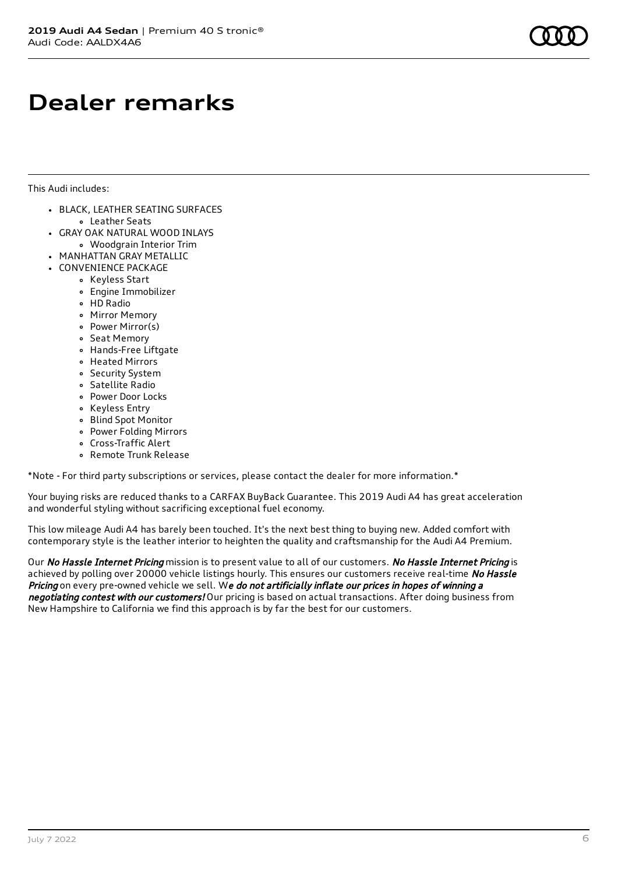### **Dealer remarks**

This Audi includes:

- BLACK, LEATHER SEATING SURFACES
	- Leather Seats
- GRAY OAK NATURAL WOOD INLAYS
	- Woodgrain Interior Trim
- MANHATTAN GRAY METALLIC
- CONVENIENCE PACKAGE
	- Keyless Start
	- Engine Immobilizer
	- HD Radio
	- Mirror Memory
	- Power Mirror(s)
	- Seat Memory
	- Hands-Free Liftgate
	- Heated Mirrors
	- Security System
	- Satellite Radio
	- Power Door Locks
	- Keyless Entry
	- Blind Spot Monitor
	- Power Folding Mirrors
	- Cross-Traffic Alert
	- Remote Trunk Release

\*Note - For third party subscriptions or services, please contact the dealer for more information.\*

Your buying risks are reduced thanks to a CARFAX BuyBack Guarantee. This 2019 Audi A4 has great acceleration and wonderful styling without sacrificing exceptional fuel economy.

This low mileage Audi A4 has barely been touched. It's the next best thing to buying new. Added comfort with contemporary style is the leather interior to heighten the quality and craftsmanship for the Audi A4 Premium.

Our No Hassle Internet Pricing mission is to present value to all of our customers. No Hassle Internet Pricing is achieved by polling over 20000 vehicle listings hourly. This ensures our customers receive real-time No Hassle Pricing on every pre-owned vehicle we sell. We do not artificially inflate our prices in hopes of winning a negotiating contest with our customers! Our pricing is based on actual transactions. After doing business from New Hampshire to California we find this approach is by far the best for our customers.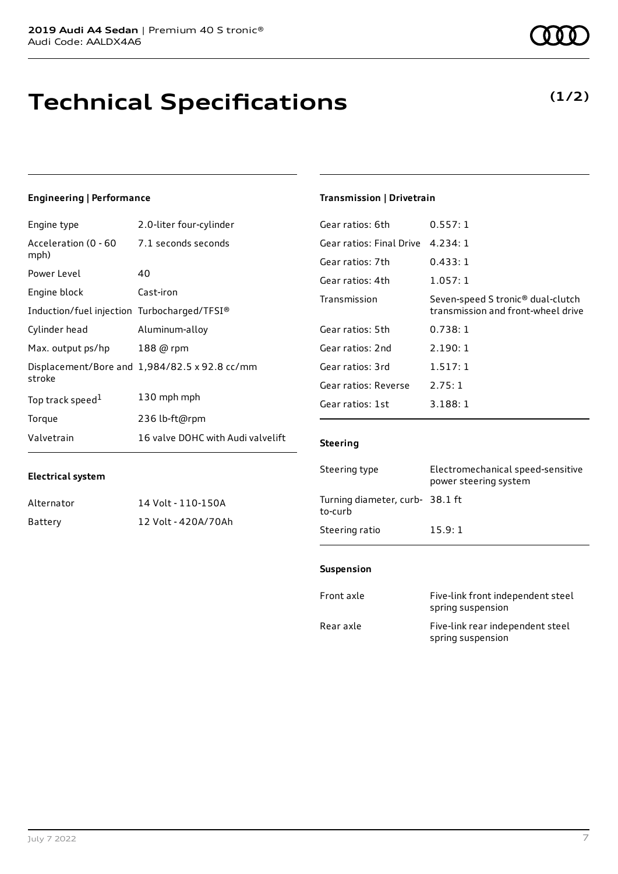### **Technical Specifications**

### **Engineering | Performance**

**Electrical system**

| Engine type                                 | 2.0-liter four-cylinder                       |
|---------------------------------------------|-----------------------------------------------|
| Acceleration (0 - 60<br>mph)                | 7.1 seconds seconds                           |
| Power Level                                 | 40                                            |
| Engine block                                | Cast-iron                                     |
| Induction/fuel injection Turbocharged/TFSI® |                                               |
| Cylinder head                               | Aluminum-alloy                                |
| Max. output ps/hp                           | 188 @ rpm                                     |
| stroke                                      | Displacement/Bore and 1,984/82.5 x 92.8 cc/mm |
| Top track speed <sup>1</sup>                | 130 mph mph                                   |
| Torque                                      | 236 lb-ft@rpm                                 |
| Valvetrain                                  | 16 valve DOHC with Audi valvelift             |

Alternator 14 Volt - 110-150A Battery 12 Volt - 420A/70Ah

#### **Transmission | Drivetrain**

| 0.557:1                                                                 |
|-------------------------------------------------------------------------|
| 4.234:1                                                                 |
| 0.433:1                                                                 |
| 1.057:1                                                                 |
| Seven-speed S tronic® dual-clutch<br>transmission and front-wheel drive |
| 0.738:1                                                                 |
| 2.190:1                                                                 |
| 1.517:1                                                                 |
| 2.75:1                                                                  |
| 3.188:1                                                                 |
|                                                                         |

#### **Steering**

| Steering type                             | Electromechanical speed-sensitive<br>power steering system |
|-------------------------------------------|------------------------------------------------------------|
| Turning diameter, curb-38.1 ft<br>to-curb |                                                            |
| Steering ratio                            | 15.9:1                                                     |

### **Suspension**

| Front axle | Five-link front independent steel<br>spring suspension |
|------------|--------------------------------------------------------|
| Rear axle  | Five-link rear independent steel<br>spring suspension  |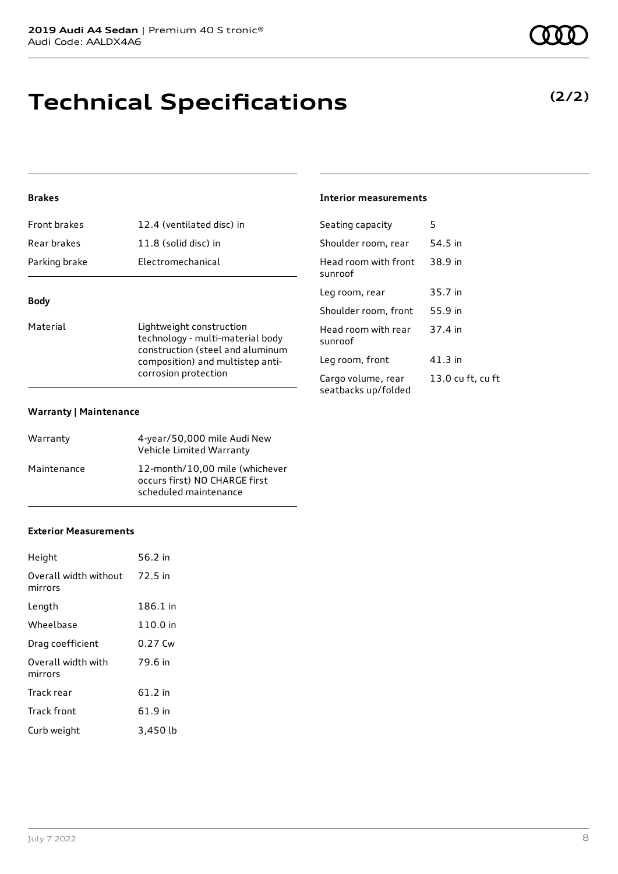### **Technical Specifications**

### **Brakes**

| <b>Front brakes</b> | 12.4 (ventilated disc) in |
|---------------------|---------------------------|
| Rear brakes         | 11.8 (solid disc) in      |
| Parking brake       | Electromechanical         |
|                     |                           |

### **Body**

Material **Material** Lightweight construction technology - multi-material body construction (steel and aluminum composition) and multistep anticorrosion protection

#### **Warranty | Maintenance**

| Warranty    | 4-year/50,000 mile Audi New<br>Vehicle Limited Warranty                                  |
|-------------|------------------------------------------------------------------------------------------|
| Maintenance | 12-month/10,00 mile (whichever<br>occurs first) NO CHARGE first<br>scheduled maintenance |

### **Exterior Measurements**

| Height                           | 56.2 in  |
|----------------------------------|----------|
| Overall width without<br>mirrors | 72.5 in  |
| Length                           | 186.1 in |
| Wheelbase                        | 110.0 in |
| Drag coefficient                 | 0.27 Cw  |
| Overall width with<br>mirrors    | 79.6 in  |
| Track rear                       | 61.2 in  |
| Track front                      | 61.9 in  |
| Curb weight                      | 3,450 lb |

### **Interior measurements**

| Seating capacity                          | 5                 |
|-------------------------------------------|-------------------|
| Shoulder room, rear                       | 54.5 in           |
| Head room with front<br>sunroof           | 38.9 in           |
| Leg room, rear                            | 35.7 in           |
| Shoulder room, front                      | 55.9 in           |
| Head room with rear<br>sunroof            | 37.4 in           |
| Leg room, front                           | 41.3 in           |
| Cargo volume, rear<br>seatbacks up/folded | 13.0 cu ft, cu ft |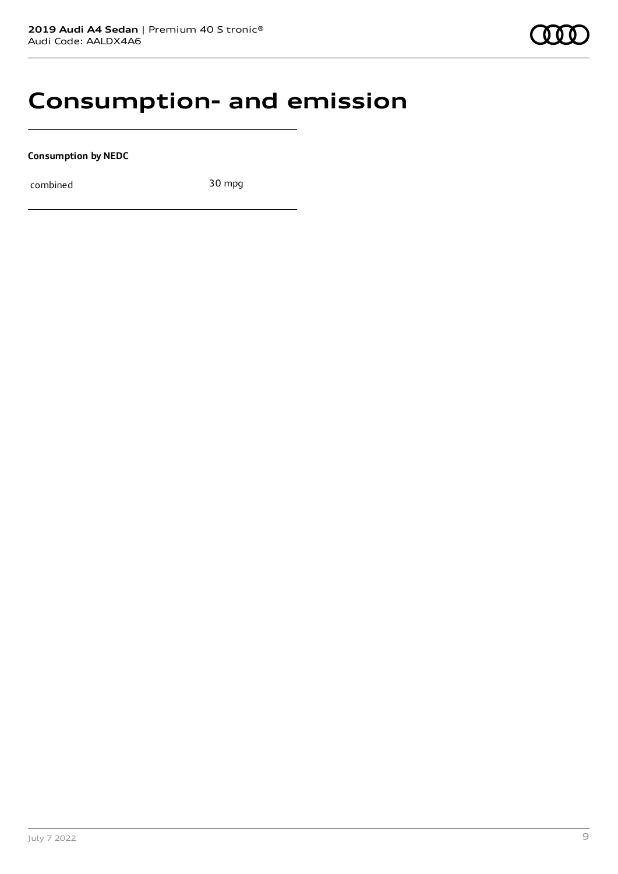### **Consumption- and emission**

**Consumption by NEDC**

combined 30 mpg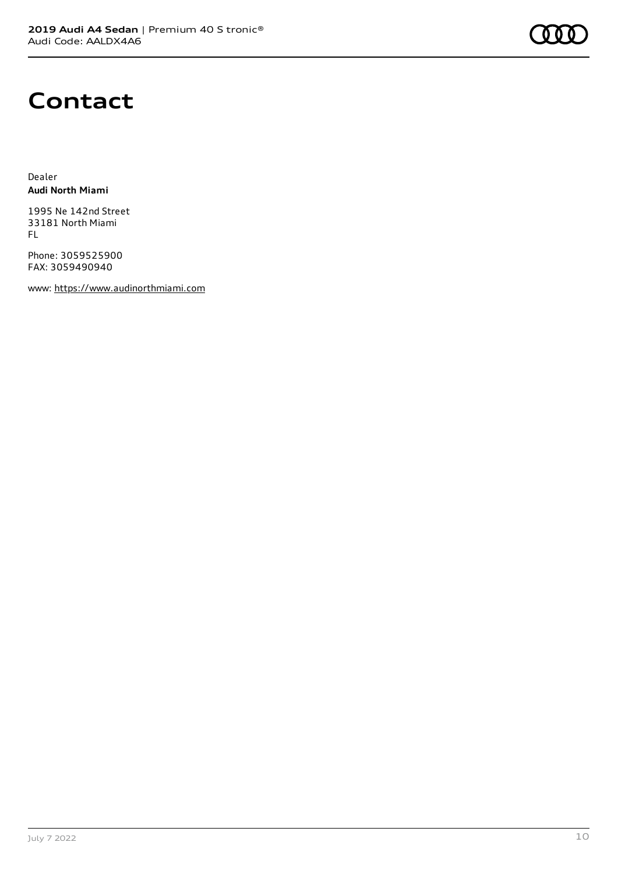

### **Contact**

Dealer **Audi North Miami**

1995 Ne 142nd Street 33181 North Miami FL

Phone: 3059525900 FAX: 3059490940

www: [https://www.audinorthmiami.com](https://www.audinorthmiami.com/)